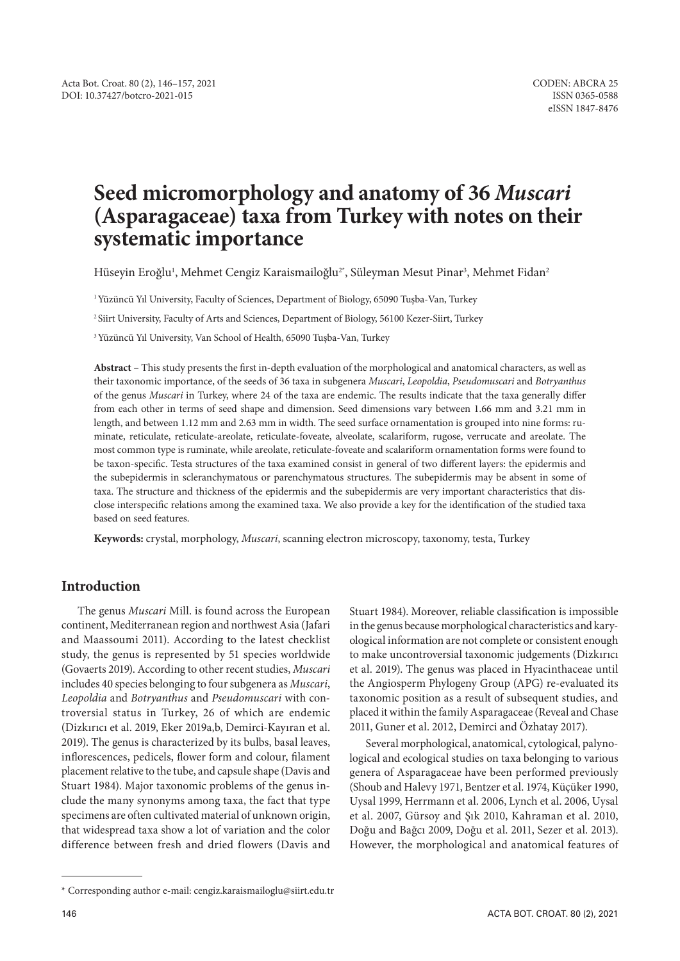# **Seed micromorphology and anatomy of 36** *Muscari* **(Asparagaceae) taxa from Turkey with notes on their systematic importance**

Hüseyin Eroğlu<sup>ı</sup>, Mehmet Cengiz Karaismailoğlu<sup>2+</sup>, Süleyman Mesut Pinar<sup>3</sup>, Mehmet Fidan<sup>2</sup>

<sup>1</sup> Yüzüncü Yıl University, Faculty of Sciences, Department of Biology, 65090 Tuşba-Van, Turkey

<sup>2</sup> Siirt University, Faculty of Arts and Sciences, Department of Biology, 56100 Kezer-Siirt, Turkey

<sup>3</sup> Yüzüncü Yıl University, Van School of Health, 65090 Tuşba-Van, Turkey

**Abstract** – This study presents the first in-depth evaluation of the morphological and anatomical characters, as well as their taxonomic importance, of the seeds of 36 taxa in subgenera *Muscari*, *Leopoldia*, *Pseudomuscari* and *Botryanthus* of the genus *Muscari* in Turkey, where 24 of the taxa are endemic. The results indicate that the taxa generally differ from each other in terms of seed shape and dimension. Seed dimensions vary between 1.66 mm and 3.21 mm in length, and between 1.12 mm and 2.63 mm in width. The seed surface ornamentation is grouped into nine forms: ruminate, reticulate, reticulate-areolate, reticulate-foveate, alveolate, scalariform, rugose, verrucate and areolate. The most common type is ruminate, while areolate, reticulate-foveate and scalariform ornamentation forms were found to be taxon-specific. Testa structures of the taxa examined consist in general of two different layers: the epidermis and the subepidermis in scleranchymatous or parenchymatous structures. The subepidermis may be absent in some of taxa. The structure and thickness of the epidermis and the subepidermis are very important characteristics that disclose interspecific relations among the examined taxa. We also provide a key for the identification of the studied taxa based on seed features.

**Keywords:** crystal, morphology, *Muscari*, scanning electron microscopy, taxonomy, testa, Turkey

# **Introduction**

The genus *Muscari* Mill. is found across the European continent, Mediterranean region and northwest Asia (Jafari and Maassoumi 2011). According to the latest checklist study, the genus is represented by 51 species worldwide (Govaerts 2019). According to other recent studies, *Muscari* includes 40 species belonging to four subgenera as *Muscari*, *Leopoldia* and *Botryanthus* and *Pseudomuscari* with controversial status in Turkey, 26 of which are endemic (Dizkırıcı et al. 2019, Eker 2019a,b, Demirci-Kayıran et al. 2019). The genus is characterized by its bulbs, basal leaves, inflorescences, pedicels, flower form and colour, filament placement relative to the tube, and capsule shape (Davis and Stuart 1984). Major taxonomic problems of the genus include the many synonyms among taxa, the fact that type specimens are often cultivated material of unknown origin, that widespread taxa show a lot of variation and the color difference between fresh and dried flowers (Davis and

Stuart 1984). Moreover, reliable classification is impossible in the genus because morphological characteristics and karyological information are not complete or consistent enough to make uncontroversial taxonomic judgements (Dizkırıcı et al. 2019). The genus was placed in Hyacinthaceae until the Angiosperm Phylogeny Group (APG) re-evaluated its taxonomic position as a result of subsequent studies, and placed it within the family Asparagaceae (Reveal and Chase 2011, Guner et al. 2012, Demirci and Özhatay 2017).

Several morphological, anatomical, cytological, palynological and ecological studies on taxa belonging to various genera of Asparagaceae have been performed previously (Shoub and Halevy 1971, Bentzer et al. 1974, Küçüker 1990, Uysal 1999, Herrmann et al. 2006, Lynch et al. 2006, Uysal et al. 2007, Gürsoy and Şık 2010, Kahraman et al. 2010, Doğu and Bağcı 2009, Doğu et al. 2011, Sezer et al. 2013). However, the morphological and anatomical features of

<sup>\*</sup> Corresponding author e-mail: cengiz.karaismailoglu@siirt.edu.tr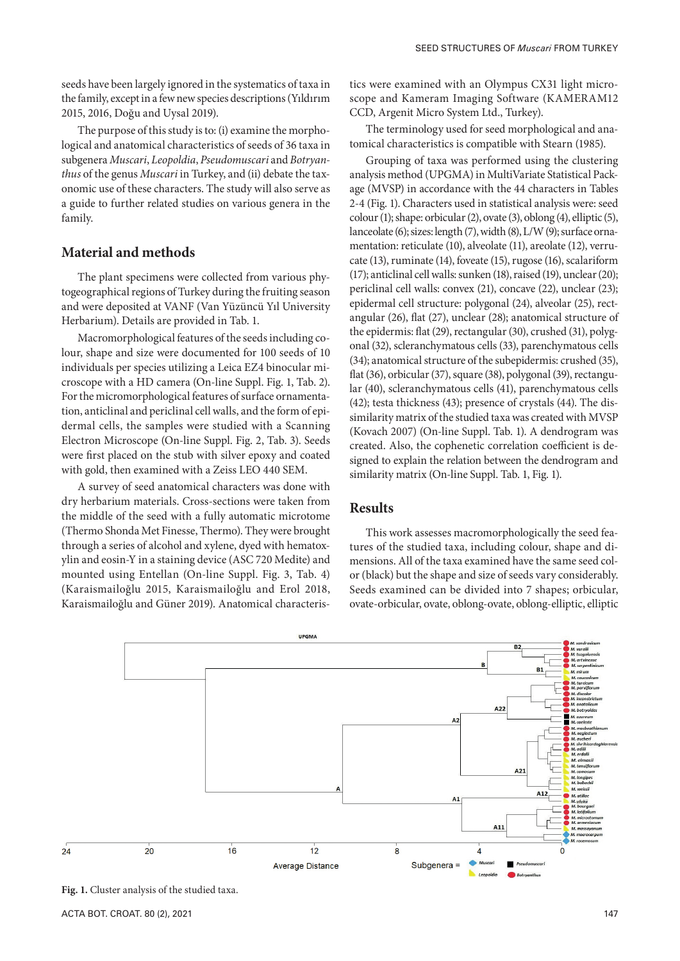seeds have been largely ignored in the systematics of taxa in the family, except in a few new species descriptions (Yıldırım 2015, 2016, Doğu and Uysal 2019).

The purpose of this study is to: (i) examine the morphological and anatomical characteristics of seeds of 36 taxa in subgenera *Muscari*, *Leopoldia*, *Pseudomuscari* and *Botryanthus* of the genus *Muscari* in Turkey, and (ii) debate the taxonomic use of these characters. The study will also serve as a guide to further related studies on various genera in the family.

## **Material and methods**

The plant specimens were collected from various phytogeographical regions of Turkey during the fruiting season and were deposited at VANF (Van Yüzüncü Yıl University Herbarium). Details are provided in Tab. 1.

Macromorphological features of the seeds including colour, shape and size were documented for 100 seeds of 10 individuals per species utilizing a Leica EZ4 binocular microscope with a HD camera (On-line Suppl. Fig. 1, Tab. 2). For the micromorphological features of surface ornamentation, anticlinal and periclinal cell walls, and the form of epidermal cells, the samples were studied with a Scanning Electron Microscope (On-line Suppl. Fig. 2, Tab. 3). Seeds were first placed on the stub with silver epoxy and coated with gold, then examined with a Zeiss LEO 440 SEM.

A survey of seed anatomical characters was done with dry herbarium materials. Cross-sections were taken from the middle of the seed with a fully automatic microtome (Thermo Shonda Met Finesse, Thermo). They were brought through a series of alcohol and xylene, dyed with hematoxylin and eosin-Y in a staining device (ASC 720 Medite) and mounted using Entellan (On-line Suppl. Fig. 3, Tab. 4) (Karaismailoğlu 2015, Karaismailoğlu and Erol 2018, Karaismailoğlu and Güner 2019). Anatomical characteristics were examined with an Olympus CX31 light microscope and Kameram Imaging Software (KAMERAM12 CCD, Argenit Micro System Ltd., Turkey).

The terminology used for seed morphological and anatomical characteristics is compatible with Stearn (1985).

Grouping of taxa was performed using the clustering analysis method (UPGMA) in MultiVariate Statistical Package (MVSP) in accordance with the 44 characters in Tables 2-4 (Fig. 1). Characters used in statistical analysis were: seed colour (1); shape: orbicular (2), ovate (3), oblong (4), elliptic (5), lanceolate (6); sizes: length (7), width (8), L/W (9); surface ornamentation: reticulate (10), alveolate (11), areolate (12), verrucate (13), ruminate (14), foveate (15), rugose (16), scalariform (17); anticlinal cell walls: sunken (18), raised (19), unclear (20); periclinal cell walls: convex (21), concave (22), unclear (23); epidermal cell structure: polygonal (24), alveolar (25), rectangular (26), flat (27), unclear (28); anatomical structure of the epidermis: flat (29), rectangular (30), crushed (31), polygonal (32), scleranchymatous cells (33), parenchymatous cells (34); anatomical structure of the subepidermis: crushed (35), flat (36), orbicular (37), square (38), polygonal (39), rectangular (40), scleranchymatous cells (41), parenchymatous cells (42); testa thickness (43); presence of crystals (44). The dissimilarity matrix of the studied taxa was created with MVSP (Kovach 2007) (On-line Suppl. Tab. 1). A dendrogram was created. Also, the cophenetic correlation coefficient is designed to explain the relation between the dendrogram and similarity matrix (On-line Suppl. Tab. 1, Fig. 1).

### **Results**

This work assesses macromorphologically the seed features of the studied taxa, including colour, shape and dimensions. All of the taxa examined have the same seed color (black) but the shape and size of seeds vary considerably. Seeds examined can be divided into 7 shapes; orbicular, ovate-orbicular, ovate, oblong-ovate, oblong-elliptic, elliptic



**Fig. 1.** Cluster analysis of the studied taxa.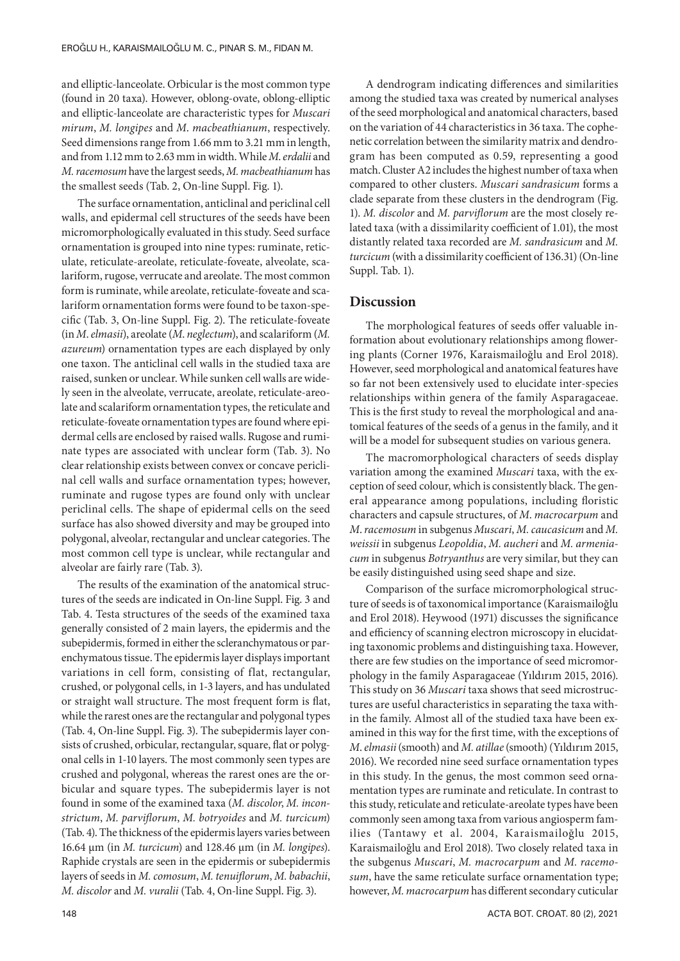and elliptic-lanceolate. Orbicular is the most common type (found in 20 taxa). However, oblong-ovate, oblong-elliptic and elliptic-lanceolate are characteristic types for *Muscari mirum*, *M. longipes* and *M*. *macbeathianum*, respectively. Seed dimensions range from 1.66 mm to 3.21 mm in length, and from 1.12 mm to 2.63 mm in width. While *M*. *erdalii* and *M. racemosum* have the largest seeds, *M. macbeathianum* has the smallest seeds (Tab. 2, On-line Suppl. Fig. 1).

The surface ornamentation, anticlinal and periclinal cell walls, and epidermal cell structures of the seeds have been micromorphologically evaluated in this study. Seed surface ornamentation is grouped into nine types: ruminate, reticulate, reticulate-areolate, reticulate-foveate, alveolate, scalariform, rugose, verrucate and areolate. The most common form is ruminate, while areolate, reticulate-foveate and scalariform ornamentation forms were found to be taxon-specific (Tab. 3, On-line Suppl. Fig. 2). The reticulate-foveate (in *M*. *elmasii*), areolate (*M*. *neglectum*), and scalariform (*M. azureum*) ornamentation types are each displayed by only one taxon. The anticlinal cell walls in the studied taxa are raised, sunken or unclear. While sunken cell walls are widely seen in the alveolate, verrucate, areolate, reticulate-areolate and scalariform ornamentation types, the reticulate and reticulate-foveate ornamentation types are found where epidermal cells are enclosed by raised walls. Rugose and ruminate types are associated with unclear form (Tab. 3). No clear relationship exists between convex or concave periclinal cell walls and surface ornamentation types; however, ruminate and rugose types are found only with unclear periclinal cells. The shape of epidermal cells on the seed surface has also showed diversity and may be grouped into polygonal, alveolar, rectangular and unclear categories. The most common cell type is unclear, while rectangular and alveolar are fairly rare (Tab. 3).

The results of the examination of the anatomical structures of the seeds are indicated in On-line Suppl. Fig. 3 and Tab. 4. Testa structures of the seeds of the examined taxa generally consisted of 2 main layers, the epidermis and the subepidermis, formed in either the scleranchymatous or parenchymatous tissue. The epidermis layer displays important variations in cell form, consisting of flat, rectangular, crushed, or polygonal cells, in 1-3 layers, and has undulated or straight wall structure. The most frequent form is flat, while the rarest ones are the rectangular and polygonal types (Tab. 4, On-line Suppl. Fig. 3). The subepidermis layer consists of crushed, orbicular, rectangular, square, flat or polygonal cells in 1-10 layers. The most commonly seen types are crushed and polygonal, whereas the rarest ones are the orbicular and square types. The subepidermis layer is not found in some of the examined taxa (*M. discolor*, *M. inconstrictum*, *M. parviflorum*, *M. botryoides* and *M. turcicum*) (Tab. 4). The thickness of the epidermis layers varies between 16.64 μm (in *M. turcicum*) and 128.46 μm (in *M. longipes*). Raphide crystals are seen in the epidermis or subepidermis layers of seeds in *M. comosum*, *M. tenuiflorum*, *M. babachii*, *M. discolor* and *M. vuralii* (Tab. 4, On-line Suppl. Fig. 3).

A dendrogram indicating differences and similarities among the studied taxa was created by numerical analyses of the seed morphological and anatomical characters, based on the variation of 44 characteristics in 36 taxa. The cophenetic correlation between the similarity matrix and dendrogram has been computed as 0.59, representing a good match. Cluster A2 includes the highest number of taxa when compared to other clusters. *Muscari sandrasicum* forms a clade separate from these clusters in the dendrogram (Fig. 1). *M. discolor* and *M. parviflorum* are the most closely related taxa (with a dissimilarity coefficient of 1.01), the most distantly related taxa recorded are *M. sandrasicum* and *M. turcicum* (with a dissimilarity coefficient of 136.31) (On-line Suppl. Tab. 1).

# **Discussion**

The morphological features of seeds offer valuable information about evolutionary relationships among flowering plants (Corner 1976, Karaismailoğlu and Erol 2018). However, seed morphological and anatomical features have so far not been extensively used to elucidate inter-species relationships within genera of the family Asparagaceae. This is the first study to reveal the morphological and anatomical features of the seeds of a genus in the family, and it will be a model for subsequent studies on various genera.

The macromorphological characters of seeds display variation among the examined *Muscari* taxa, with the exception of seed colour, which is consistently black. The general appearance among populations, including floristic characters and capsule structures, of *M*. *macrocarpum* and *M*. *racemosum* in subgenus *Muscari*, *M. caucasicum* and *M. weissii* in subgenus *Leopoldia*, *M. aucheri* and *M. armeniacum* in subgenus *Botryanthus* are very similar, but they can be easily distinguished using seed shape and size.

Comparison of the surface micromorphological structure of seeds is of taxonomical importance (Karaismailoğlu and Erol 2018). Heywood (1971) discusses the significance and efficiency of scanning electron microscopy in elucidating taxonomic problems and distinguishing taxa. However, there are few studies on the importance of seed micromorphology in the family Asparagaceae (Yıldırım 2015, 2016). This study on 36 *Muscari* taxa shows that seed microstructures are useful characteristics in separating the taxa within the family. Almost all of the studied taxa have been examined in this way for the first time, with the exceptions of *M*. *elmasii* (smooth) and *M. atillae* (smooth)(Yıldırım 2015, 2016). We recorded nine seed surface ornamentation types in this study. In the genus, the most common seed ornamentation types are ruminate and reticulate. In contrast to this study, reticulate and reticulate-areolate types have been commonly seen among taxa from various angiosperm families (Tantawy et al. 2004, Karaismailoğlu 2015, Karaismailoğlu and Erol 2018). Two closely related taxa in the subgenus *Muscari*, *M. macrocarpum* and *M. racemosum*, have the same reticulate surface ornamentation type; however, *M. macrocarpum* has different secondary cuticular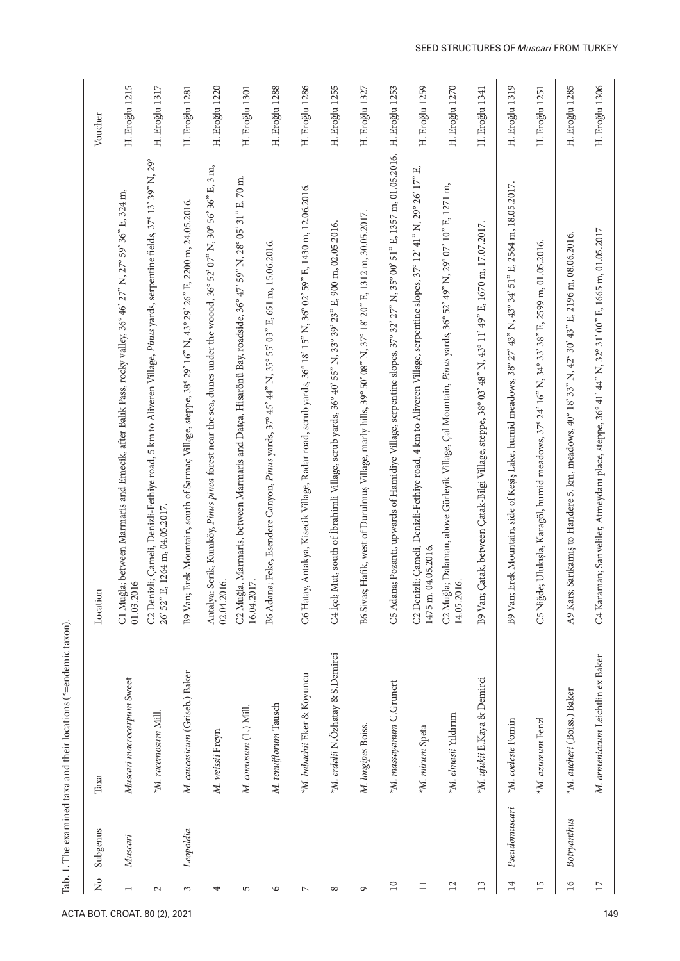| C5 Adana; Pozantı, upwards of Hamidiye Village, serpentine slopes, 37° 32' 27" N, 35° 00' 51" E, 1357 m, 01.05.2016.<br>C2 Denizli; Çameli, Denizli-Fethiye road, 5 km to Aliveren Village, Pinus yards, serpentine fields, 37° 13' 39" N, 29°<br>Antalya: Serik, Kumköy, Pinus pinea forest near the sea, dunes under the woood, 36° 52' 07" N, 30° 56' 36" E, 3 m,<br>C2 Denizli; Çameli, Denizli-Fethiye road, 4 km to Aliveren Village, serpentine slopes, 37° 12' 41° N, 29° 26' 17° E,<br>C2 Muğla, Marmaris, between Marmaris and Datça, Hisarönü Bay, roadside, 36° 47' 59° N, 28° 05' 31° E, 70 m,<br>B9 Van; Erek Mountain, side of Keşiş Lake, humid meadows, 38° 27' 43° N, 43° 34' 51° E, 2564 m, 18.05.2017.<br>C2 Muğla; Dalaman, above Gürleyik Village, Çal Mountain, Pinus yards, 36° 52' 49" N, 29° 07' 10" E, 1271 m,<br>C6 Hatay, Antakya, Kisecik Village, Radar road, scrub yards, 36° 18' 15" N, 36° 02' 59" E, 1430 m, 12.06.2016.<br>C1 Muğla; between Marmaris and Emecik, after Balık Pass, rocky valley, 36° 46' 27° N, 27° 59' 36° E, 324 m,<br>B9 Van; Erek Mountain, south of Sarmaç Village, steppe, 38° 29' 16" N, 43° 29' 26" E, 2200 m, 24.05.2016.<br>Hafik, west of Durulmuş Village, marly hills, 39° 50' 08" N, 37° 18' 20" E, 1312 m, 30.05.2017.<br>C4 İçel; Mut, south of İbrahimli Village, scrub yards, 36° 40' 55" N, 33° 39' 23" E, 900 m, 02.05.2016.<br>B9 Van; Çatak, between Çatak-Bilgi Village, steppe, 38° 03' 48" N, 43° 11' 49" E, 1670 m, 17.07.2017.<br>C4 Karaman; Sarıveliler, Atmeydanı place, steppe, 36° 41' 44" N, 32° 31' 00" E, 1665 m, 01.05.2017<br>Sarıkamış to Handere 5. km, meadows, 40° 18' 33" N, 42° 30' 43" E, 2196 m, 08.06.2016.<br>B6 Adana; Feke, Esendere Canyon, Pinus yards, 37° 45' 44" N, 35° 55' 03" E, 651 m, 15.06.2016.<br>C5 Niğde; Ulukışla, Karagöl, humid meadows, 37° 24' 16" N, 34° 33' 38" E, 2599 m, 01.05.2016.<br>26' 52" E, 1264 m, 04.05.2017<br>1475 m, 04.05.2016.<br>Ó.<br>Ó.<br>$\circ$<br>E.<br>Location<br>01.03.201<br>02.04.201<br>16.04.201<br>B6 Sivas;<br>14.05.201<br>A9 Kars;<br>*M. erdalii N.Özhatay & S.Demirci<br>M. armeniacum Leichtlin ex Baker<br>M. caucasicum (Griseb.) Baker<br>*M. babachii Eker & Koyuncu<br>*M. ufukii E.Kaya & Demirci<br>Muscari macrocarpum Sweet<br>*M. massayanum C.Grunert<br>*M. aucheri (Boiss.) Baker<br>M. tenuiflorum Tausch<br>M. comosum (L.) Mill.<br>*M. racemosum Mill.<br>*M. elmasii Yıldırım<br>*M. azureum Fenzl<br>$^{\star}{M}$ . coeleste Fomin<br>M. longipes Boiss.<br>*M. mirum Speta<br>M. weissii Freyn<br>Таха<br>Pseudomuscari<br>Botryanthus<br>Leopoldia<br>Subgenus<br>Muscari<br>$\mathcal{L}_{\mathbf{O}}$<br>14<br>$16$<br>$\Xi$<br>15<br>$\overline{\mathbf{L}}$<br>13<br>$\Box$<br>$\Box$<br>$\mathcal{L}$<br>G<br>$\mathfrak{c}$<br>4<br>5<br>$\circ$<br>$\triangleright$<br>$\infty$<br>$\overline{ }$<br>ACTA BOT. CROAT. 80 (2), 2021 |  |  |                    |
|---------------------------------------------------------------------------------------------------------------------------------------------------------------------------------------------------------------------------------------------------------------------------------------------------------------------------------------------------------------------------------------------------------------------------------------------------------------------------------------------------------------------------------------------------------------------------------------------------------------------------------------------------------------------------------------------------------------------------------------------------------------------------------------------------------------------------------------------------------------------------------------------------------------------------------------------------------------------------------------------------------------------------------------------------------------------------------------------------------------------------------------------------------------------------------------------------------------------------------------------------------------------------------------------------------------------------------------------------------------------------------------------------------------------------------------------------------------------------------------------------------------------------------------------------------------------------------------------------------------------------------------------------------------------------------------------------------------------------------------------------------------------------------------------------------------------------------------------------------------------------------------------------------------------------------------------------------------------------------------------------------------------------------------------------------------------------------------------------------------------------------------------------------------------------------------------------------------------------------------------------------------------------------------------------------------------------------------------------------------------------------------------------------------------------------------------------------------------------------------------------------------------------------------------------------------------------------------------------------------------------------------------------------------------------------------------------------------------------------------------------------------------------------------------------------------------------------------------------------------------------------------------------------------------------------|--|--|--------------------|
|                                                                                                                                                                                                                                                                                                                                                                                                                                                                                                                                                                                                                                                                                                                                                                                                                                                                                                                                                                                                                                                                                                                                                                                                                                                                                                                                                                                                                                                                                                                                                                                                                                                                                                                                                                                                                                                                                                                                                                                                                                                                                                                                                                                                                                                                                                                                                                                                                                                                                                                                                                                                                                                                                                                                                                                                                                                                                                                                 |  |  | Voucher            |
|                                                                                                                                                                                                                                                                                                                                                                                                                                                                                                                                                                                                                                                                                                                                                                                                                                                                                                                                                                                                                                                                                                                                                                                                                                                                                                                                                                                                                                                                                                                                                                                                                                                                                                                                                                                                                                                                                                                                                                                                                                                                                                                                                                                                                                                                                                                                                                                                                                                                                                                                                                                                                                                                                                                                                                                                                                                                                                                                 |  |  | 5<br>H. Eroğlu 121 |
|                                                                                                                                                                                                                                                                                                                                                                                                                                                                                                                                                                                                                                                                                                                                                                                                                                                                                                                                                                                                                                                                                                                                                                                                                                                                                                                                                                                                                                                                                                                                                                                                                                                                                                                                                                                                                                                                                                                                                                                                                                                                                                                                                                                                                                                                                                                                                                                                                                                                                                                                                                                                                                                                                                                                                                                                                                                                                                                                 |  |  | H. Eroğlu 1317     |
|                                                                                                                                                                                                                                                                                                                                                                                                                                                                                                                                                                                                                                                                                                                                                                                                                                                                                                                                                                                                                                                                                                                                                                                                                                                                                                                                                                                                                                                                                                                                                                                                                                                                                                                                                                                                                                                                                                                                                                                                                                                                                                                                                                                                                                                                                                                                                                                                                                                                                                                                                                                                                                                                                                                                                                                                                                                                                                                                 |  |  | H. Eroğlu 1281     |
|                                                                                                                                                                                                                                                                                                                                                                                                                                                                                                                                                                                                                                                                                                                                                                                                                                                                                                                                                                                                                                                                                                                                                                                                                                                                                                                                                                                                                                                                                                                                                                                                                                                                                                                                                                                                                                                                                                                                                                                                                                                                                                                                                                                                                                                                                                                                                                                                                                                                                                                                                                                                                                                                                                                                                                                                                                                                                                                                 |  |  | H. Eroğlu 1220     |
|                                                                                                                                                                                                                                                                                                                                                                                                                                                                                                                                                                                                                                                                                                                                                                                                                                                                                                                                                                                                                                                                                                                                                                                                                                                                                                                                                                                                                                                                                                                                                                                                                                                                                                                                                                                                                                                                                                                                                                                                                                                                                                                                                                                                                                                                                                                                                                                                                                                                                                                                                                                                                                                                                                                                                                                                                                                                                                                                 |  |  | H. Eroğlu 1301     |
|                                                                                                                                                                                                                                                                                                                                                                                                                                                                                                                                                                                                                                                                                                                                                                                                                                                                                                                                                                                                                                                                                                                                                                                                                                                                                                                                                                                                                                                                                                                                                                                                                                                                                                                                                                                                                                                                                                                                                                                                                                                                                                                                                                                                                                                                                                                                                                                                                                                                                                                                                                                                                                                                                                                                                                                                                                                                                                                                 |  |  | H. Eroğlu 1288     |
|                                                                                                                                                                                                                                                                                                                                                                                                                                                                                                                                                                                                                                                                                                                                                                                                                                                                                                                                                                                                                                                                                                                                                                                                                                                                                                                                                                                                                                                                                                                                                                                                                                                                                                                                                                                                                                                                                                                                                                                                                                                                                                                                                                                                                                                                                                                                                                                                                                                                                                                                                                                                                                                                                                                                                                                                                                                                                                                                 |  |  | H. Eroğlu 1286     |
|                                                                                                                                                                                                                                                                                                                                                                                                                                                                                                                                                                                                                                                                                                                                                                                                                                                                                                                                                                                                                                                                                                                                                                                                                                                                                                                                                                                                                                                                                                                                                                                                                                                                                                                                                                                                                                                                                                                                                                                                                                                                                                                                                                                                                                                                                                                                                                                                                                                                                                                                                                                                                                                                                                                                                                                                                                                                                                                                 |  |  | H. Eroğlu 1255     |
|                                                                                                                                                                                                                                                                                                                                                                                                                                                                                                                                                                                                                                                                                                                                                                                                                                                                                                                                                                                                                                                                                                                                                                                                                                                                                                                                                                                                                                                                                                                                                                                                                                                                                                                                                                                                                                                                                                                                                                                                                                                                                                                                                                                                                                                                                                                                                                                                                                                                                                                                                                                                                                                                                                                                                                                                                                                                                                                                 |  |  | H. Eroğlu 1327     |
|                                                                                                                                                                                                                                                                                                                                                                                                                                                                                                                                                                                                                                                                                                                                                                                                                                                                                                                                                                                                                                                                                                                                                                                                                                                                                                                                                                                                                                                                                                                                                                                                                                                                                                                                                                                                                                                                                                                                                                                                                                                                                                                                                                                                                                                                                                                                                                                                                                                                                                                                                                                                                                                                                                                                                                                                                                                                                                                                 |  |  | H. Eroğlu 1253     |
|                                                                                                                                                                                                                                                                                                                                                                                                                                                                                                                                                                                                                                                                                                                                                                                                                                                                                                                                                                                                                                                                                                                                                                                                                                                                                                                                                                                                                                                                                                                                                                                                                                                                                                                                                                                                                                                                                                                                                                                                                                                                                                                                                                                                                                                                                                                                                                                                                                                                                                                                                                                                                                                                                                                                                                                                                                                                                                                                 |  |  | H. Eroğlu 1259     |
|                                                                                                                                                                                                                                                                                                                                                                                                                                                                                                                                                                                                                                                                                                                                                                                                                                                                                                                                                                                                                                                                                                                                                                                                                                                                                                                                                                                                                                                                                                                                                                                                                                                                                                                                                                                                                                                                                                                                                                                                                                                                                                                                                                                                                                                                                                                                                                                                                                                                                                                                                                                                                                                                                                                                                                                                                                                                                                                                 |  |  | H. Eroğlu 1270     |
|                                                                                                                                                                                                                                                                                                                                                                                                                                                                                                                                                                                                                                                                                                                                                                                                                                                                                                                                                                                                                                                                                                                                                                                                                                                                                                                                                                                                                                                                                                                                                                                                                                                                                                                                                                                                                                                                                                                                                                                                                                                                                                                                                                                                                                                                                                                                                                                                                                                                                                                                                                                                                                                                                                                                                                                                                                                                                                                                 |  |  | H. Eroğlu 1341     |
| 149                                                                                                                                                                                                                                                                                                                                                                                                                                                                                                                                                                                                                                                                                                                                                                                                                                                                                                                                                                                                                                                                                                                                                                                                                                                                                                                                                                                                                                                                                                                                                                                                                                                                                                                                                                                                                                                                                                                                                                                                                                                                                                                                                                                                                                                                                                                                                                                                                                                                                                                                                                                                                                                                                                                                                                                                                                                                                                                             |  |  | H. Eroğlu 1319     |
|                                                                                                                                                                                                                                                                                                                                                                                                                                                                                                                                                                                                                                                                                                                                                                                                                                                                                                                                                                                                                                                                                                                                                                                                                                                                                                                                                                                                                                                                                                                                                                                                                                                                                                                                                                                                                                                                                                                                                                                                                                                                                                                                                                                                                                                                                                                                                                                                                                                                                                                                                                                                                                                                                                                                                                                                                                                                                                                                 |  |  | H. Eroğlu 1251     |
|                                                                                                                                                                                                                                                                                                                                                                                                                                                                                                                                                                                                                                                                                                                                                                                                                                                                                                                                                                                                                                                                                                                                                                                                                                                                                                                                                                                                                                                                                                                                                                                                                                                                                                                                                                                                                                                                                                                                                                                                                                                                                                                                                                                                                                                                                                                                                                                                                                                                                                                                                                                                                                                                                                                                                                                                                                                                                                                                 |  |  | H. Eroğlu 1285     |
|                                                                                                                                                                                                                                                                                                                                                                                                                                                                                                                                                                                                                                                                                                                                                                                                                                                                                                                                                                                                                                                                                                                                                                                                                                                                                                                                                                                                                                                                                                                                                                                                                                                                                                                                                                                                                                                                                                                                                                                                                                                                                                                                                                                                                                                                                                                                                                                                                                                                                                                                                                                                                                                                                                                                                                                                                                                                                                                                 |  |  | H. Eroğlu 1306     |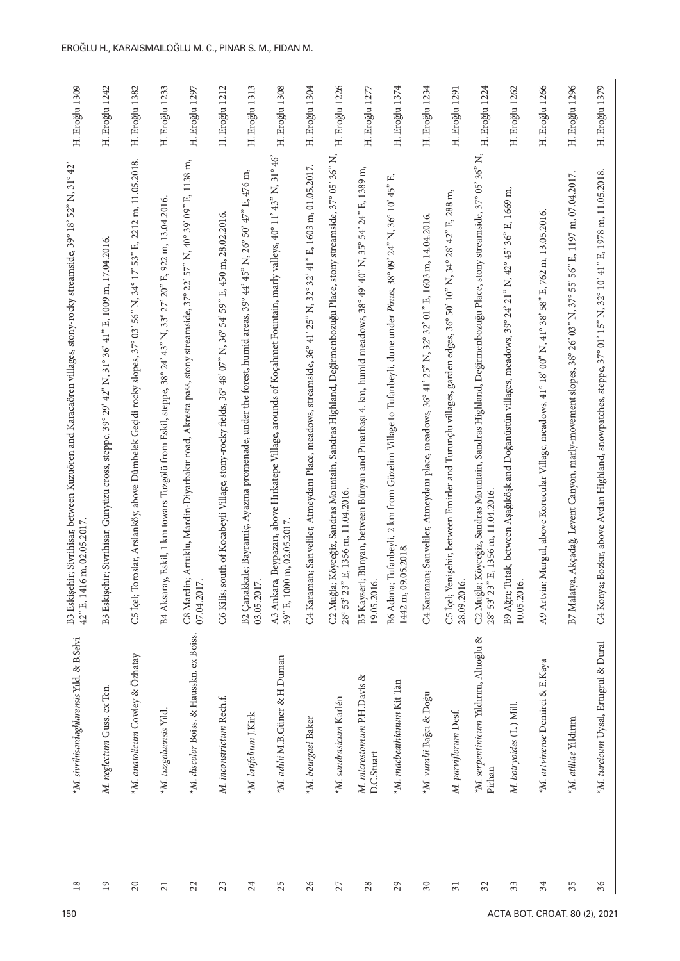| H. Eroğlu 1309                                                                                                                                  | H. Eroğlu 1242                                                                                     | H. Eroğlu 1382                                                                                                              | $\epsilon$<br>H. Eroğlu 123                                                                                 | H. Eroğlu 1297                                                                                                                  | H. Eroğlu 1212                                                                                             | H. Eroğlu 1313                                                                                                              | H. Eroğlu 1308                                                                                                                                  | H. Eroğlu 1304                                                                                                   | H. Eroğlu 1226                                                                                                                                       | H. Eroğlu 1277                                                                                                              | H. Eroğlu 1374                                                                                                                             | H. Eroğlu 1234                                                                                       | H. Eroğlu 1291                                                                                                               | H. Eroğlu 1224                                                                                                                                       | H. Eroğlu 1262                                                                                                           | H. Eroğlu 1266                                                                                                     | H. Eroğlu 1296                                                                                                   | H. Eroğlu 1379                                                                                                 |
|-------------------------------------------------------------------------------------------------------------------------------------------------|----------------------------------------------------------------------------------------------------|-----------------------------------------------------------------------------------------------------------------------------|-------------------------------------------------------------------------------------------------------------|---------------------------------------------------------------------------------------------------------------------------------|------------------------------------------------------------------------------------------------------------|-----------------------------------------------------------------------------------------------------------------------------|-------------------------------------------------------------------------------------------------------------------------------------------------|------------------------------------------------------------------------------------------------------------------|------------------------------------------------------------------------------------------------------------------------------------------------------|-----------------------------------------------------------------------------------------------------------------------------|--------------------------------------------------------------------------------------------------------------------------------------------|------------------------------------------------------------------------------------------------------|------------------------------------------------------------------------------------------------------------------------------|------------------------------------------------------------------------------------------------------------------------------------------------------|--------------------------------------------------------------------------------------------------------------------------|--------------------------------------------------------------------------------------------------------------------|------------------------------------------------------------------------------------------------------------------|----------------------------------------------------------------------------------------------------------------|
| B3 Eskişehir; Sivrihisar, between Kuzuören and Karacaören villages, stony-rocky streamside, 39° 18' 52° N, 31° 42'<br>42" E, 1416 m, 02.05.2017 | B3 Eskişehir; Sivrihisar, Günyüzü cross, steppe, 39° 29' 42" N, 31° 36' 41" E, 1009 m, 17.04.2016. | 53" E, 2212 m, 11.05.2018.<br>56" N, 34° 17"<br>Toroslar, Arslanköy, above Dümbelek Geçidi rocky slopes, 37°03'<br>C5 İçel; | B4 Aksaray, Eskil, 1 km towars Tuzgölü from Eskil, steppe, 38° 24' 43" N, 33° 27' 20" E, 922 m, 13.04.2016. | C8 Mardin; Artuklu, Mardin-Diyarbakır road, Akresta pass, stony streamside, 37° 22' 57° N, 40° 39' 09° E, 1138 m,<br>07.04.2017 | C6 Kilis; south of Kocabeyli Village, stony-rocky fields, 36° 48' 07" N, 36° 54' 59" E, 450 m, 28.02.2016. | B2 Çanakkale; Bayramiç, Ayazma promenade, under the forest, humid areas, 39° 44' 45" N, 26° 50' 47" E, 476 m,<br>03.05.2017 | A3 Ankara, Beypazarı, above Hırkatepe Village, arounds of Koçahmet Fountain, marly valleys, 40° 11' 43° N, 31° 46'<br>39" E, 1000 m, 02.05.2017 | C4 Karaman; Sartveliler, Atmeydanı Place, meadows, streamside, 36° 41' 25° N, 32° 32' 41° E, 1603 m, 01.05.2017. | C2 Muğla; Köyceğiz, Sandras Mountain, Sandras Highland, Değirmenbozuğu Place, stony streamside, 37° 05' 36° N,<br>28° 53' 23" E, 1356 m, 11.04.2016. | B5 Kayseri; Bünyan, between Bünyan and Pınarbaşı 4. km, humid meadows, 38° 49' 40" N, 35° 54' 24" E, 1389 m,<br>19.05.2016. | Eĵ<br>B6 Adana; Tufanbeyli, 2 km from Güzelim Village to Tufanbeyli, dune under Pinus, 38º 09' 24" N, 36º 10' 45"<br>09.05.2018<br>1442 m, | C4 Karaman; Sarıveliler, Atmeydanı place, meadows, 36° 41' 25" N, 32° 32' 01" E, 1603 m, 14.04.2016. | C5 İçel; Yenişehir, between Emirler and Turunçlu villages, garden edges, 36° 50' 10" N, 34° 28' 42" E, 288 m,<br>28.09.2016. | C2 Muğla; Köyceğiz, Sandras Mountain, Sandras Highland, Değirmenbozuğu Place, stony streamside, 37° 05' 36° N,<br>28° 53' 23" E, 1356 m, 11.04.2016. | B9 Ağrı; Tutak, between Aşağıköşk and Doğanüstün villages, meadows, 39° 24' 21" N, 42° 45' 36" E, 1669 m,<br>10.05.2016. | E, 762 m, 13.05.2016.<br>$58^\circ$<br>A9 Artvin; Murgul, above Korucular Village, meadows, 41° 18' 00" N, 41° 38' | 56" E, 1197 m, 07.04.2017.<br>B7 Malatya, Alkçadağ, Levent Canyon, marly-movement slopes, 38° 26' 03" N, 37° 55' | C4 Konya; Bozkır, above Avdan Highland, snowpatches, steppe, 37° 01' 15" N, 32° 10' 41" E, 1978 m, 11.05.2018. |
| *M. sivrilnisardaghlarensis Yıld. & B.Selvi                                                                                                     | M. neglectum Guss. ex Ten.                                                                         | *M. anatolicum Cowley & Özhatay                                                                                             | *M. tuzgoluensis Yıld                                                                                       | *M. discolor Boiss. & Hausskn. ex Boiss.                                                                                        | M. inconstrictum Rech.f.                                                                                   | *M. latifolium J.Kirk                                                                                                       | *M. adilii M.B.Güner & H.Duman                                                                                                                  | *M. bourgaei Baker                                                                                               | *M. sandrasicum Karlén                                                                                                                               | M. microstomum P.H.Davis &<br>D.C.Stuart                                                                                    | *M. macbeathianum Kit Tan                                                                                                                  | *M. vuralii Bağcı & Doğu                                                                             | M. parviflorum Desf.                                                                                                         | *M. serpentinicum Yıldırım, Altıoğlu &<br>Pirhan                                                                                                     | M. botryoides (L.) Mill.                                                                                                 | *M. artvinense Demirci & E.Kaya                                                                                    | *M. atillae Yıldırım                                                                                             | *M. turcicum Uysal, Ertugrul & Dural                                                                           |
| 18<br>150                                                                                                                                       | $\overline{19}$                                                                                    | $\overline{c}$                                                                                                              | 21                                                                                                          | $\mathfrak{L}$                                                                                                                  | 23                                                                                                         | 24                                                                                                                          | 25                                                                                                                                              | 26                                                                                                               | $\overline{27}$                                                                                                                                      | 28                                                                                                                          | 29                                                                                                                                         | $30\,$                                                                                               | $\overline{31}$                                                                                                              | $\mathfrak{Z}$                                                                                                                                       | 33<br>ACTA BOT. CROAT. 80 (2),                                                                                           | 34                                                                                                                 | 35                                                                                                               | 36<br>202'                                                                                                     |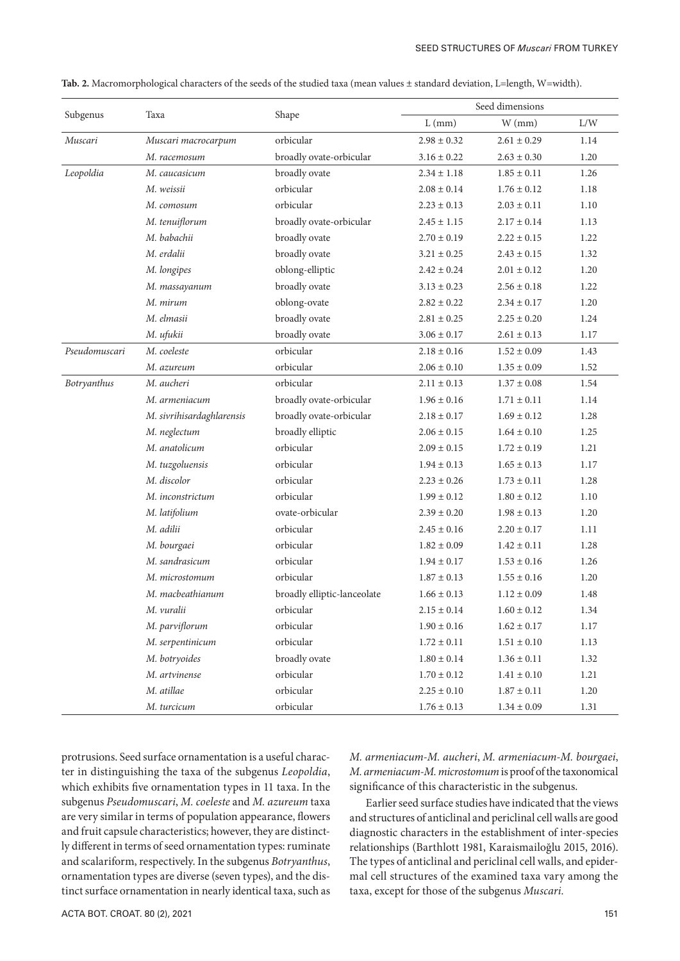|               |                           |                             |                 | Seed dimensions |          |
|---------------|---------------------------|-----------------------------|-----------------|-----------------|----------|
| Subgenus      | Taxa                      | Shape                       | $L$ (mm)        | $W$ (mm)        | L/W      |
| Muscari       | Muscari macrocarpum       | orbicular                   | $2.98 \pm 0.32$ | $2.61 \pm 0.29$ | 1.14     |
|               | M. racemosum              | broadly ovate-orbicular     | $3.16 \pm 0.22$ | $2.63 \pm 0.30$ | 1.20     |
| Leopoldia     | M. caucasicum             | broadly ovate               | $2.34 \pm 1.18$ | $1.85 \pm 0.11$ | 1.26     |
|               | M. weissii                | orbicular                   | $2.08 \pm 0.14$ | $1.76 \pm 0.12$ | 1.18     |
|               | M. comosum                | orbicular                   | $2.23 \pm 0.13$ | $2.03 \pm 0.11$ | 1.10     |
|               | M. tenuiflorum            | broadly ovate-orbicular     | $2.45 \pm 1.15$ | $2.17 \pm 0.14$ | 1.13     |
|               | M. babachii               | broadly ovate               | $2.70 \pm 0.19$ | $2.22 \pm 0.15$ | 1.22     |
|               | M. erdalii                | broadly ovate               | $3.21 \pm 0.25$ | $2.43 \pm 0.15$ | 1.32     |
|               | M. longipes               | oblong-elliptic             | $2.42 \pm 0.24$ | $2.01 \pm 0.12$ | 1.20     |
|               | M. massayanum             | broadly ovate               | $3.13 \pm 0.23$ | $2.56 \pm 0.18$ | 1.22     |
|               | M. mirum                  | oblong-ovate                | $2.82 \pm 0.22$ | $2.34 \pm 0.17$ | 1.20     |
|               | M. elmasii                | broadly ovate               | $2.81 \pm 0.25$ | $2.25 \pm 0.20$ | 1.24     |
|               | M. ufukii                 | broadly ovate               | $3.06 \pm 0.17$ | $2.61 \pm 0.13$ | 1.17     |
| Pseudomuscari | M. coeleste               | orbicular                   | $2.18 \pm 0.16$ | $1.52 \pm 0.09$ | 1.43     |
|               | M. azureum                | orbicular                   | $2.06 \pm 0.10$ | $1.35 \pm 0.09$ | 1.52     |
| Botryanthus   | M. aucheri                | orbicular                   | $2.11 \pm 0.13$ | $1.37 \pm 0.08$ | 1.54     |
|               | M. armeniacum             | broadly ovate-orbicular     | $1.96 \pm 0.16$ | $1.71 \pm 0.11$ | 1.14     |
|               | M. sivrihisardaghlarensis | broadly ovate-orbicular     | $2.18 \pm 0.17$ | $1.69 \pm 0.12$ | 1.28     |
|               | M. neglectum              | broadly elliptic            | $2.06 \pm 0.15$ | $1.64 \pm 0.10$ | 1.25     |
|               | M. anatolicum             | orbicular                   | $2.09 \pm 0.15$ | $1.72 \pm 0.19$ | 1.21     |
|               | M. tuzgoluensis           | orbicular                   | $1.94 \pm 0.13$ | $1.65 \pm 0.13$ | 1.17     |
|               | M. discolor               | orbicular                   | $2.23 \pm 0.26$ | $1.73 \pm 0.11$ | 1.28     |
|               | M. inconstrictum          | orbicular                   | $1.99 \pm 0.12$ | $1.80 \pm 0.12$ | 1.10     |
|               | M. latifolium             | ovate-orbicular             | $2.39 \pm 0.20$ | $1.98 \pm 0.13$ | 1.20     |
|               | M. adilii                 | orbicular                   | $2.45 \pm 0.16$ | $2.20 \pm 0.17$ | 1.11     |
|               | M. bourgaei               | orbicular                   | $1.82 \pm 0.09$ | $1.42 \pm 0.11$ | 1.28     |
|               | M. sandrasicum            | orbicular                   | $1.94 \pm 0.17$ | $1.53 \pm 0.16$ | 1.26     |
|               | M. microstomum            | orbicular                   | $1.87 \pm 0.13$ | $1.55 \pm 0.16$ | 1.20     |
|               | M. macbeathianum          | broadly elliptic-lanceolate | $1.66 \pm 0.13$ | $1.12 \pm 0.09$ | 1.48     |
|               | M. vuralii                | orbicular                   | $2.15\pm0.14$   | $1.60 \pm 0.12$ | 1.34     |
|               | M. parviflorum            | orbicular                   | $1.90\pm0.16$   | $1.62\pm0.17$   | $1.17\,$ |
|               | M. serpentinicum          | orbicular                   | $1.72 \pm 0.11$ | $1.51 \pm 0.10$ | 1.13     |
|               | M. botryoides             | broadly ovate               | $1.80\pm0.14$   | $1.36\pm0.11$   | 1.32     |
|               | M. artvinense             | orbicular                   | $1.70\pm0.12$   | $1.41 \pm 0.10$ | 1.21     |
|               | M. atillae                | orbicular                   | $2.25 \pm 0.10$ | $1.87\pm0.11$   | 1.20     |
|               | M. turcicum               | orbicular                   | $1.76\pm0.13$   | $1.34\pm0.09$   | 1.31     |

**Tab. 2.** Macromorphological characters of the seeds of the studied taxa (mean values ± standard deviation, L=length, W=width).

protrusions. Seed surface ornamentation is a useful character in distinguishing the taxa of the subgenus *Leopoldia*, which exhibits five ornamentation types in 11 taxa. In the subgenus *Pseudomuscari*, *M. coeleste* and *M. azureum* taxa are very similar in terms of population appearance, flowers and fruit capsule characteristics; however, they are distinctly different in terms of seed ornamentation types: ruminate and scalariform, respectively. In the subgenus *Botryanthus*, ornamentation types are diverse (seven types), and the distinct surface ornamentation in nearly identical taxa, such as *M. armeniacum*-*M. aucheri*, *M. armeniacum*-*M. bourgaei*, *M. armeniacum*-*M. microstomum* is proof of the taxonomical significance of this characteristic in the subgenus.

Earlier seed surface studies have indicated that the views and structures of anticlinal and periclinal cell walls are good diagnostic characters in the establishment of inter-species relationships (Barthlott 1981, Karaismailoğlu 2015, 2016). The types of anticlinal and periclinal cell walls, and epidermal cell structures of the examined taxa vary among the taxa, except for those of the subgenus *Muscari.*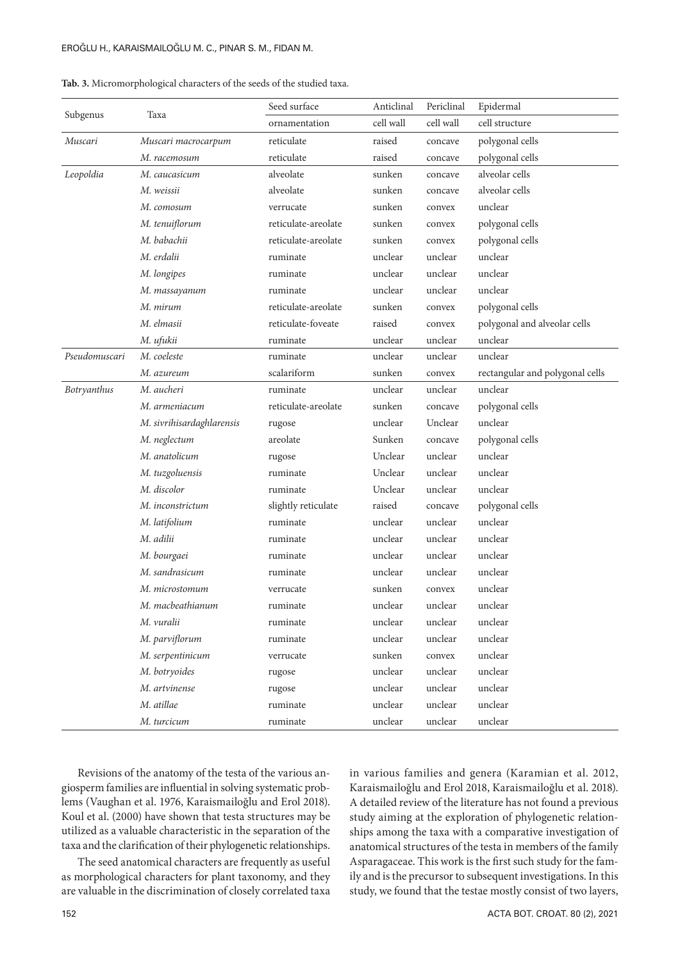| Tab. 3. Micromorphological characters of the seeds of the studied taxa. |  |  |
|-------------------------------------------------------------------------|--|--|
|-------------------------------------------------------------------------|--|--|

|                    |                           | Seed surface        | Anticlinal | Periclinal | Epidermal                       |
|--------------------|---------------------------|---------------------|------------|------------|---------------------------------|
| Subgenus           | Taxa                      | ornamentation       | cell wall  | cell wall  | cell structure                  |
| Muscari            | Muscari macrocarpum       | reticulate          | raised     | concave    | polygonal cells                 |
|                    | M. racemosum              | reticulate          | raised     | concave    | polygonal cells                 |
| Leopoldia          | M. caucasicum             | alveolate           | sunken     | concave    | alveolar cells                  |
|                    | M. weissii                | alveolate           | sunken     | concave    | alveolar cells                  |
|                    | M. comosum                | verrucate           | sunken     | convex     | unclear                         |
|                    | M. tenuiflorum            | reticulate-areolate | sunken     | convex     | polygonal cells                 |
|                    | M. babachii               | reticulate-areolate | sunken     | convex     | polygonal cells                 |
|                    | M. erdalii                | ruminate            | unclear    | unclear    | unclear                         |
|                    | M. longipes               | ruminate            | unclear    | unclear    | unclear                         |
|                    | M. massayanum             | ruminate            | unclear    | unclear    | unclear                         |
|                    | M. mirum                  | reticulate-areolate | sunken     | convex     | polygonal cells                 |
|                    | M. elmasii                | reticulate-foveate  | raised     | convex     | polygonal and alveolar cells    |
|                    | M. ufukii                 | ruminate            | unclear    | unclear    | unclear                         |
| Pseudomuscari      | M. coeleste               | ruminate            | unclear    | unclear    | unclear                         |
|                    | M. azureum                | scalariform         | sunken     | convex     | rectangular and polygonal cells |
| <b>Botryanthus</b> | M. aucheri                | ruminate            | unclear    | unclear    | unclear                         |
|                    | M. armeniacum             | reticulate-areolate | sunken     | concave    | polygonal cells                 |
|                    | M. sivrihisardaghlarensis | rugose              | unclear    | Unclear    | unclear                         |
|                    | M. neglectum              | areolate            | Sunken     | concave    | polygonal cells                 |
|                    | M. anatolicum             | rugose              | Unclear    | unclear    | unclear                         |
|                    | M. tuzgoluensis           | ruminate            | Unclear    | unclear    | unclear                         |
|                    | M. discolor               | ruminate            | Unclear    | unclear    | unclear                         |
|                    | M. inconstrictum          | slightly reticulate | raised     | concave    | polygonal cells                 |
|                    | M. latifolium             | ruminate            | unclear    | unclear    | unclear                         |
|                    | M. adilii                 | ruminate            | unclear    | unclear    | unclear                         |
|                    | M. bourgaei               | ruminate            | unclear    | unclear    | unclear                         |
|                    | M. sandrasicum            | ruminate            | unclear    | unclear    | unclear                         |
|                    | M. microstomum            | verrucate           | sunken     | convex     | unclear                         |
|                    | M. macbeathianum          | ruminate            | unclear    | unclear    | unclear                         |
|                    | M. vuralii                | ruminate            | unclear    | unclear    | unclear                         |
|                    | M. parviflorum            | ruminate            | unclear    | unclear    | unclear                         |
|                    | M. serpentinicum          | verrucate           | sunken     | convex     | unclear                         |
|                    | M. botryoides             | rugose              | unclear    | unclear    | unclear                         |
|                    | M. artvinense             | rugose              | unclear    | unclear    | unclear                         |
|                    | M. atillae                | ruminate            | unclear    | unclear    | unclear                         |
|                    | M. turcicum               | ruminate            | unclear    | unclear    | unclear                         |

Revisions of the anatomy of the testa of the various angiosperm families are influential in solving systematic problems (Vaughan et al. 1976, Karaismailoğlu and Erol 2018). Koul et al. (2000) have shown that testa structures may be utilized as a valuable characteristic in the separation of the taxa and the clarification of their phylogenetic relationships.

The seed anatomical characters are frequently as useful as morphological characters for plant taxonomy, and they are valuable in the discrimination of closely correlated taxa in various families and genera (Karamian et al. 2012, Karaismailoğlu and Erol 2018, Karaismailoğlu et al. 2018). A detailed review of the literature has not found a previous study aiming at the exploration of phylogenetic relationships among the taxa with a comparative investigation of anatomical structures of the testa in members of the family Asparagaceae. This work is the first such study for the family and is the precursor to subsequent investigations. In this study, we found that the testae mostly consist of two layers,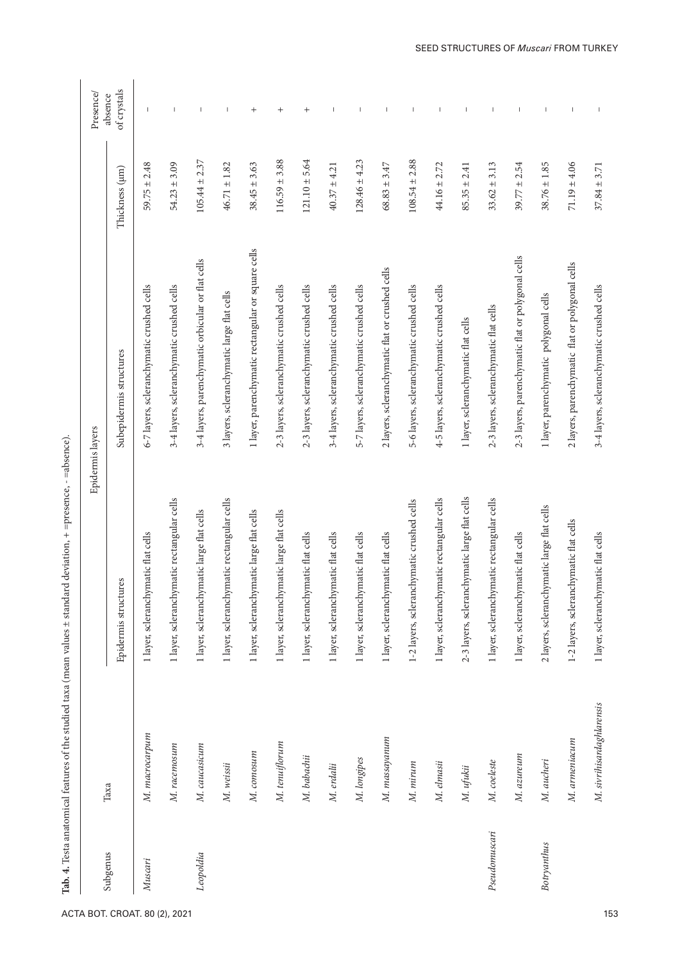| i          |
|------------|
| inana      |
|            |
| i<br>Ci    |
|            |
|            |
|            |
| )<br>}     |
| Š          |
| ı          |
| .<br>ال    |
| ֦          |
|            |
| $\vdots$   |
|            |
|            |
|            |
|            |
|            |
|            |
|            |
|            |
| j          |
| ļ          |
|            |
|            |
|            |
|            |
| i          |
|            |
|            |
| i          |
|            |
|            |
|            |
|            |
|            |
|            |
| j          |
|            |
|            |
| ı          |
|            |
|            |
| l          |
|            |
|            |
|            |
|            |
| i          |
|            |
|            |
|            |
| i<br>i     |
| E<br>I     |
| $\ddot{ }$ |

|                    |                           |                                              | Epidermis layers                                   |                   | Presence/                      |
|--------------------|---------------------------|----------------------------------------------|----------------------------------------------------|-------------------|--------------------------------|
| Subgenus           | Taxa                      | Epidermis structures                         | Subepidermis structures                            | Thickness (µm)    | of crystals<br>absence         |
| Muscari            | M. macrocarpum            | 1 layer, scleranchymatic flat cells          | 6-7 layers, scleranchymatic crushed cells          | $59.75 \pm 2.48$  | $\overline{\phantom{a}}$       |
|                    | M. racemosum              | 1 layer, scleranchymatic rectangular cells   | 3-4 layers, scleranchymatic crushed cells          | $54.23 \pm 3.09$  | $\overline{\phantom{a}}$       |
| Leopoldia          | M. caucasicum             | 1 layer, scleranchymatic large flat cells    | 3-4 layers, parenchymatic orbicular or flat cells  | $105.44 \pm 2.37$ | $\overline{\phantom{a}}$       |
|                    | M. weissii                | 1 layer, scleranchymatic rectangular cells   | 3 layers, scleranchymatic large flat cells         | $46.71 \pm 1.82$  | $\begin{array}{c} \end{array}$ |
|                    | M. comosum                | 1 layer, scleranchymatic large flat cells    | 1 layer, parenchymatic rectangular or square cells | $38.45 \pm 3.63$  | $\qquad \qquad +$              |
|                    | M. tenuiflorum            | 1 layer, scleranchymatic large flat cells    | 2-3 layers, scleranchymatic crushed cells          | $116.59 \pm 3.88$ | $\qquad \qquad +$              |
|                    | M. babachii               | 1 layer, scleranchymatic flat cells          | 2-3 layers, scleranchymatic crushed cells          | $121.10 \pm 5.64$ | $^{+}$                         |
|                    | M. erdalii                | 1 layer, scleranchymatic flat cells          | 3-4 layers, scleranchymatic crushed cells          | $40.37 \pm 4.21$  | $\mathbf{I}$                   |
|                    | M. longipes               | 1 layer, scleranchymatic flat cells          | 5-7 layers, scleranchymatic crushed cells          | $128.46 \pm 4.23$ |                                |
|                    | M. massayanum             | 1 layer, scleranchymatic flat cells          | 2 layers, scleranchymatic flat or crushed cells    | $68.83 \pm 3.47$  | $\overline{\phantom{a}}$       |
|                    | M. mirum                  | 1-2 layers, scleranchymatic crushed cells    | 5-6 layers, scleranchymatic crushed cells          | $108.54 \pm 2.88$ | $\overline{\phantom{a}}$       |
|                    | M. elmasii                | 1 layer, scleranchymatic rectangular cells   | 4-5 layers, scleranchymatic crushed cells          | $44.16 \pm 2.72$  |                                |
|                    | M. ufukii                 | 2-3 layers, scleranchymatic large flat cells | 1 layer, scleranchymatic flat cells                | $85.35 \pm 2.41$  | $\overline{\phantom{a}}$       |
| Pseudomuscari      | M. coeleste               | 1 layer, scleranchymatic rectangular cells   | 2-3 layers, scleranchymatic flat cells             | $33.62 \pm 3.13$  | $\mathbf{I}$                   |
|                    | M. azureum                | 1 layer, scleranchymatic flat cells          | 2-3 layers, parenchymatic flat or polygonal cells  | $39.77 \pm 2.54$  | $\overline{\phantom{a}}$       |
| <b>Botryanthus</b> | M. aucheri                | 2 layers, scleranchymatic large flat cells   | 1 layer, parenchymatic polygonal cells             | $38.76 \pm 1.85$  | $\overline{\phantom{a}}$       |
|                    | M. armeniacum             | 1-2 layers, scleranchymatic flat cells       | 2 layers, parenchymatic flat or polygonal cells    | $71.19 \pm 4.06$  | $\overline{\phantom{a}}$       |
|                    | M. sivrihisardaghlarensis | 1 layer, scleranchymatic flat cells          | 3-4 layers, scleranchymatic crushed cells          | $37.84 \pm 3.71$  |                                |
|                    |                           |                                              |                                                    |                   |                                |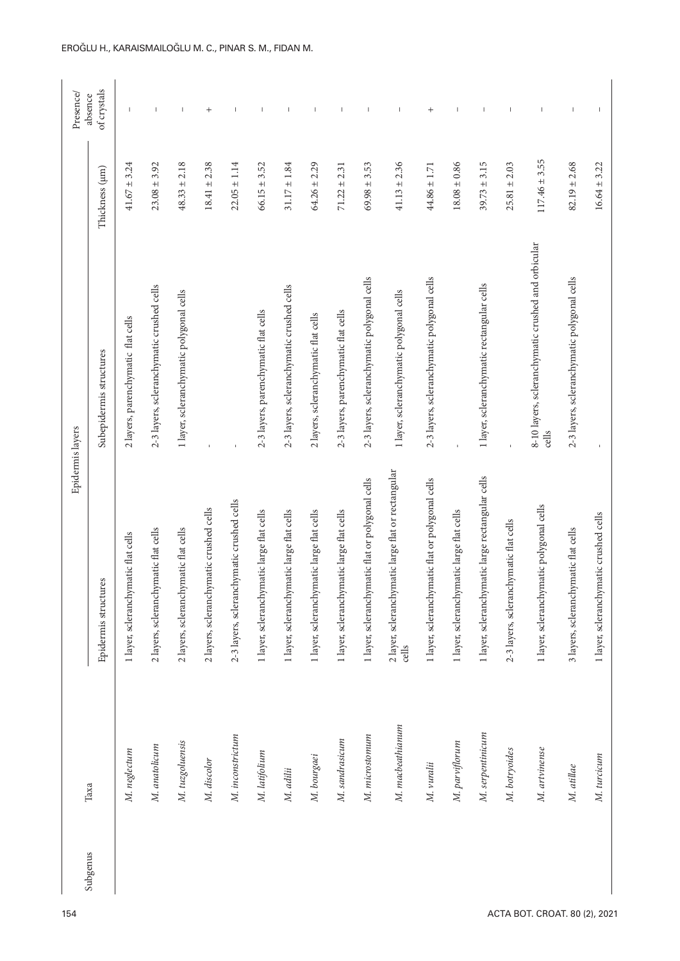| 154                           | Taxa       |                  | Epidermis layers                                            |                                                             |                   | Presence/                |
|-------------------------------|------------|------------------|-------------------------------------------------------------|-------------------------------------------------------------|-------------------|--------------------------|
|                               | Subgenus   |                  | Epidermis structures                                        | Subepidermis structures                                     | Thickness (µm)    | of crystals<br>absence   |
|                               |            | M. neglectum     | 1 layer, scleranchymatic flat cells                         | 2 layers, parenchymatic flat cells                          | $41.67 \pm 3.24$  |                          |
|                               |            | M. anatolicum    | 2 layers, scleranchymatic flat cells                        | 2-3 layers, scleranchymatic crushed cells                   | $23.08 \pm 3.92$  |                          |
|                               |            | M. tuzgoluensis  | 2 layers, scleranchymatic flat cells                        | 1 layer, scleranchymatic polygonal cells                    | $48.33 \pm 2.18$  | $\overline{\phantom{a}}$ |
|                               |            | M. discolor      | 2 layers, scleranchymatic crushed cells                     |                                                             | $18.41 \pm 2.38$  | $^{+}$                   |
|                               |            | M. inconstrictum | 2-3 layers, scleranchymatic crushed cells                   |                                                             | $22.05 \pm 1.14$  |                          |
|                               |            | M. latifolium    | 1 layer, scleranchymatic large flat cells                   | 2-3 layers, parenchymatic flat cells                        | $66.15 \pm 3.52$  |                          |
|                               | M. adilii  |                  | 1 layer, scleranchymatic large flat cells                   | 2-3 layers, scleranchymatic crushed cells                   | $31.17 \pm 1.84$  |                          |
|                               |            | M. bourgaei      | 1 layer, scleranchymatic large flat cells                   | 2 layers, scleranchymatic flat cells                        | $64.26 \pm 2.29$  |                          |
|                               |            | M. sandrasicum   | 1 layer, scleranchymatic large flat cells                   | 2-3 layers, parenchymatic flat cells                        | $71.22 \pm 2.31$  |                          |
|                               |            | M. microstomum   | 1 layer, scleranchymatic flat or polygonal cells            | 2-3 layers, scleranchymatic polygonal cells                 | $69.98 \pm 3.53$  |                          |
|                               |            | M. macbeathianum | 2 layer, scleranchymatic large flat or rectangular<br>cells | 1 layer, scleranchymatic polygonal cells                    | $41.13 \pm 2.36$  |                          |
|                               | M. vuralii |                  | 1 layer, scleranchymatic flat or polygonal cells            | 2-3 layers, scleranchymatic polygonal cells                 | $44.86 \pm 1.71$  | $^+$                     |
|                               |            | M. parviflorum   | 1 layer, scleranchymatic large flat cells                   |                                                             | $18.08 \pm 0.86$  |                          |
|                               |            | M. serpentinicum | 1 layer, scleranchymatic large rectangular cells            | 1 layer, scleranchymatic rectangular cells                  | $39.73 \pm 3.15$  |                          |
|                               |            | M. botryoides    | 2-3 layers, scleranchymatic flat cells                      |                                                             | $25.81 \pm 2.03$  |                          |
| ACTA BOT. CROAT. 80 (2), 2021 |            | M. artvinense    | 1 layer, scleranchymatic polygonal cells                    | 8-10 layers, scleranchymatic crushed and orbicular<br>cells | $117.46 \pm 3.55$ |                          |
|                               | M. atillae |                  | 3 layers, scleranchymatic flat cells                        | 2-3 layers, scleranchymatic polygonal cells                 | $82.19 \pm 2.68$  |                          |
|                               |            | M. turcicum      | 1 layer, scleranchymatic crushed cells                      |                                                             | $16.64 \pm 3.22$  |                          |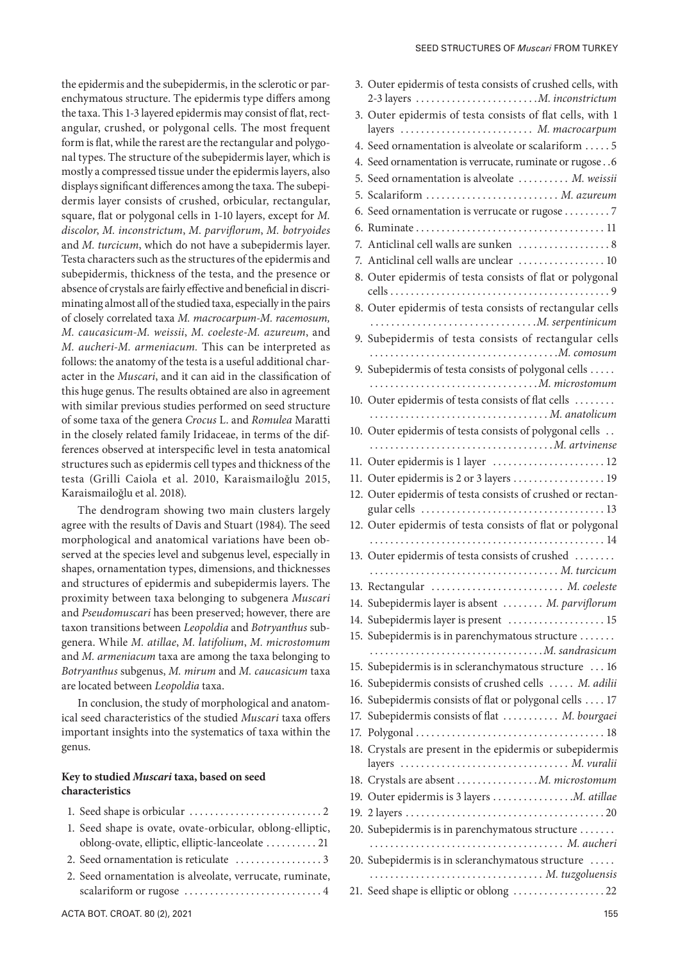the epidermis and the subepidermis, in the sclerotic or parenchymatous structure. The epidermis type differs among the taxa. This 1-3 layered epidermis may consist of flat, rectangular, crushed, or polygonal cells. The most frequent form is flat, while the rarest are the rectangular and polygonal types. The structure of the subepidermis layer, which is mostly a compressed tissue under the epidermis layers, also displays significant differences among the taxa. The subepidermis layer consists of crushed, orbicular, rectangular, square, flat or polygonal cells in 1-10 layers, except for *M. discolor*, *M. inconstrictum*, *M. parviflorum*, *M. botryoides*  and *M. turcicum*, which do not have a subepidermis layer. Testa characters such as the structures of the epidermis and subepidermis, thickness of the testa, and the presence or absence of crystals are fairly effective and beneficial in discriminating almost all of the studied taxa, especially in the pairs of closely correlated taxa *M. macrocarpum-M. racemosum, M. caucasicum-M. weissii*, *M. coeleste-M. azureum*, and *M. aucheri-M. armeniacum.* This can be interpreted as follows: the anatomy of the testa is a useful additional character in the *Muscari*, and it can aid in the classification of this huge genus. The results obtained are also in agreement with similar previous studies performed on seed structure of some taxa of the genera *Crocus* L. and *Romulea* Maratti in the closely related family Iridaceae, in terms of the differences observed at interspecific level in testa anatomical structures such as epidermis cell types and thickness of the testa (Grilli Caiola et al. 2010, Karaismailoğlu 2015, Karaismailoğlu et al. 2018).

The dendrogram showing two main clusters largely agree with the results of Davis and Stuart (1984). The seed morphological and anatomical variations have been observed at the species level and subgenus level, especially in shapes, ornamentation types, dimension and structures of epidermis and suber proximity between taxa belonging to and Pseudomuscari has been preserved taxon transitions between *Leopoldia* and genera. While *M. atillae*, *M. latifolium*, *M. microstomum* and *M. armeniacum* taxa are among the *Botryanthus* subgenus, *M. mirum* and are located between *Leopoldia* taxa.

#### Key to studied *Muscari* taxa, based on **characteristics**

| 1. Seed shape is orbicular $\dots \dots \dots \dots \dots \dots \dots \dots$ |
|------------------------------------------------------------------------------|
| 1. Seed shape is ovate, ovate-orbicular, oblong-elliptic,                    |
| oblong-ovate, elliptic, elliptic-lanceolate  21                              |
|                                                                              |
| 2. Seed ornamentation is alveolate, verrucate, ruminate,                     |
|                                                                              |

| and structures of epidermis and subepidermis layers. The<br>proximity between taxa belonging to subgenera Muscari<br>and Pseudomuscari has been preserved; however, there are<br>taxon transitions between Leopoldia and Botryanthus sub-<br>genera. While M. atillae, M. latifolium, M. microstomum<br>and M. armeniacum taxa are among the taxa belonging to<br>15. Subepidermis is in scleranchymatous structure  16<br>Botryanthus subgenus, M. mirum and M. caucasicum taxa<br>16. Subepidermis consists of crushed cells  M. adilii<br>are located between Leopoldia taxa.<br>16. Subepidermis consists of flat or polygonal cells  17<br>In conclusion, the study of morphological and anatom-<br>17. Subepidermis consists of flat  M. bourgaei<br>ical seed characteristics of the studied Muscari taxa offers<br>important insights into the systematics of taxa within the<br>genus.<br>layers  M. vuralii<br>Key to studied Muscari taxa, based on seed<br>18. Crystals are absent M. microstomum<br>characteristics<br>1. Seed shape is ovate, ovate-orbicular, oblong-elliptic,<br>oblong-ovate, elliptic, elliptic-lanceolate  21<br>20. Subepidermis is in scleranchymatous structure<br>2. Seed ornamentation is alveolate, verrucate, ruminate,<br>ACTA BOT. CROAT. 80 (2), 2021 | shapes, ornamentation types, dimensions, and thicknesses | 19. Outel epidemins of testa consists of crushed all all all and the same of the same of the same of the same o |
|----------------------------------------------------------------------------------------------------------------------------------------------------------------------------------------------------------------------------------------------------------------------------------------------------------------------------------------------------------------------------------------------------------------------------------------------------------------------------------------------------------------------------------------------------------------------------------------------------------------------------------------------------------------------------------------------------------------------------------------------------------------------------------------------------------------------------------------------------------------------------------------------------------------------------------------------------------------------------------------------------------------------------------------------------------------------------------------------------------------------------------------------------------------------------------------------------------------------------------------------------------------------------------------------------|----------------------------------------------------------|-----------------------------------------------------------------------------------------------------------------|
|                                                                                                                                                                                                                                                                                                                                                                                                                                                                                                                                                                                                                                                                                                                                                                                                                                                                                                                                                                                                                                                                                                                                                                                                                                                                                                    |                                                          | 13. Rectangular  M. coeleste                                                                                    |
|                                                                                                                                                                                                                                                                                                                                                                                                                                                                                                                                                                                                                                                                                                                                                                                                                                                                                                                                                                                                                                                                                                                                                                                                                                                                                                    |                                                          | 14. Subepidermis layer is absent  M. parviflorum                                                                |
|                                                                                                                                                                                                                                                                                                                                                                                                                                                                                                                                                                                                                                                                                                                                                                                                                                                                                                                                                                                                                                                                                                                                                                                                                                                                                                    |                                                          | 14. Subepidermis layer is present  15                                                                           |
|                                                                                                                                                                                                                                                                                                                                                                                                                                                                                                                                                                                                                                                                                                                                                                                                                                                                                                                                                                                                                                                                                                                                                                                                                                                                                                    |                                                          | 15. Subepidermis is in parenchymatous structure                                                                 |
|                                                                                                                                                                                                                                                                                                                                                                                                                                                                                                                                                                                                                                                                                                                                                                                                                                                                                                                                                                                                                                                                                                                                                                                                                                                                                                    |                                                          |                                                                                                                 |
|                                                                                                                                                                                                                                                                                                                                                                                                                                                                                                                                                                                                                                                                                                                                                                                                                                                                                                                                                                                                                                                                                                                                                                                                                                                                                                    |                                                          |                                                                                                                 |
|                                                                                                                                                                                                                                                                                                                                                                                                                                                                                                                                                                                                                                                                                                                                                                                                                                                                                                                                                                                                                                                                                                                                                                                                                                                                                                    |                                                          |                                                                                                                 |
|                                                                                                                                                                                                                                                                                                                                                                                                                                                                                                                                                                                                                                                                                                                                                                                                                                                                                                                                                                                                                                                                                                                                                                                                                                                                                                    |                                                          |                                                                                                                 |
|                                                                                                                                                                                                                                                                                                                                                                                                                                                                                                                                                                                                                                                                                                                                                                                                                                                                                                                                                                                                                                                                                                                                                                                                                                                                                                    |                                                          |                                                                                                                 |
|                                                                                                                                                                                                                                                                                                                                                                                                                                                                                                                                                                                                                                                                                                                                                                                                                                                                                                                                                                                                                                                                                                                                                                                                                                                                                                    |                                                          | 18. Crystals are present in the epidermis or subepidermis                                                       |
|                                                                                                                                                                                                                                                                                                                                                                                                                                                                                                                                                                                                                                                                                                                                                                                                                                                                                                                                                                                                                                                                                                                                                                                                                                                                                                    |                                                          |                                                                                                                 |
|                                                                                                                                                                                                                                                                                                                                                                                                                                                                                                                                                                                                                                                                                                                                                                                                                                                                                                                                                                                                                                                                                                                                                                                                                                                                                                    |                                                          |                                                                                                                 |
|                                                                                                                                                                                                                                                                                                                                                                                                                                                                                                                                                                                                                                                                                                                                                                                                                                                                                                                                                                                                                                                                                                                                                                                                                                                                                                    |                                                          |                                                                                                                 |
|                                                                                                                                                                                                                                                                                                                                                                                                                                                                                                                                                                                                                                                                                                                                                                                                                                                                                                                                                                                                                                                                                                                                                                                                                                                                                                    |                                                          | 20. Subepidermis is in parenchymatous structure                                                                 |
|                                                                                                                                                                                                                                                                                                                                                                                                                                                                                                                                                                                                                                                                                                                                                                                                                                                                                                                                                                                                                                                                                                                                                                                                                                                                                                    |                                                          |                                                                                                                 |
|                                                                                                                                                                                                                                                                                                                                                                                                                                                                                                                                                                                                                                                                                                                                                                                                                                                                                                                                                                                                                                                                                                                                                                                                                                                                                                    |                                                          | M. tuzgoluensis                                                                                                 |
|                                                                                                                                                                                                                                                                                                                                                                                                                                                                                                                                                                                                                                                                                                                                                                                                                                                                                                                                                                                                                                                                                                                                                                                                                                                                                                    |                                                          |                                                                                                                 |
|                                                                                                                                                                                                                                                                                                                                                                                                                                                                                                                                                                                                                                                                                                                                                                                                                                                                                                                                                                                                                                                                                                                                                                                                                                                                                                    |                                                          | 155                                                                                                             |
|                                                                                                                                                                                                                                                                                                                                                                                                                                                                                                                                                                                                                                                                                                                                                                                                                                                                                                                                                                                                                                                                                                                                                                                                                                                                                                    |                                                          |                                                                                                                 |
|                                                                                                                                                                                                                                                                                                                                                                                                                                                                                                                                                                                                                                                                                                                                                                                                                                                                                                                                                                                                                                                                                                                                                                                                                                                                                                    |                                                          |                                                                                                                 |
|                                                                                                                                                                                                                                                                                                                                                                                                                                                                                                                                                                                                                                                                                                                                                                                                                                                                                                                                                                                                                                                                                                                                                                                                                                                                                                    |                                                          |                                                                                                                 |
|                                                                                                                                                                                                                                                                                                                                                                                                                                                                                                                                                                                                                                                                                                                                                                                                                                                                                                                                                                                                                                                                                                                                                                                                                                                                                                    |                                                          |                                                                                                                 |

3. Outer epidermis of testa consists of crushed cells, with 2-3 layers . *M. inconstrictum* 3. Outer epidermis of testa consists of flat cells, with 1 layers . . *M. macrocarpum* 4. Seed ornamentation is alveolate or scalariform  $\dots$  5 4. Seed ornamentation is verrucate, ruminate or rugose. 6 5. Seed ornamentation is alveolate . . *M. weissii* 5. Scalariform . *M. azureum* 6. Seed ornamentation is verrucate or rugose  $\dots \dots 7$ 6. Ruminate . . 11 7. Anticlinal cell walls are sunken  $\dots\dots\dots\dots\dots$ 8 7. Anticlinal cell walls are unclear  $\dots\dots\dots\dots\dots$  10 8. Outer epidermis of testa consists of flat or polygonal cells . . 9 8. Outer epidermis of testa consists of rectangular cells . *M. serpentinicum* 9. Subepidermis of testa consists of rectangular cells . *M. comosum* 9. Subepidermis of testa consists of polygonal cells . . . *M. microstomum* 10. Outer epidermis of testa consists of flat cells . . . . *M. anatolicum* 10. Outer epidermis of testa consists of polygonal cells . . . *M. artvinense* 11. Outer epidermis is 1 layer  $\dots\dots\dots\dots\dots\dots 12$ 11. Outer epidermis is 2 or 3 layers  $\dots\dots\dots\dots\dots\dots$  19 12. Outer epidermis of testa consists of crushed or rectangular cells  $\dots \dots \dots \dots \dots \dots \dots \dots \dots \dots \dots \dots \dots 13$ 12. Outer epidermis of testa consists of flat or polygonal . . 14 13. Outer epidermis of testa consists of crushed . . . . *M. turcicum* 13. Rectangular . . *M. coeleste* 14. Subepidermis layer is absent . . *M. parviflorum*  $test$  . . . . . . . . . . . . . . . . . . 15 nchymatous structure . . . . . . . . *M. sandrasicum* anchymatous structure ... 16 16. Subepidermis consists of crushed cells . . *M. adilii* If flat or polygonal cells  $\dots$  17 17. Subepidermis consists of flat. . *M. bourgaei* 17. Polygonal . . 18 the epidermis or subepidermis . . . . . . . . . . . . . . . . . *M. vuralii* 18. Crystals are absent . *M. microstomum* ers . . . . . . . . . . . . . . . . *M. atillae* 19. 2 layers . 20 nchymatous structure . . . . . . . . . *M. aucheri* anchymatous structure ..... . . *M. tuzgoluensis*  $oblong$  .  $\dots$   $\dots$   $\dots$   $22$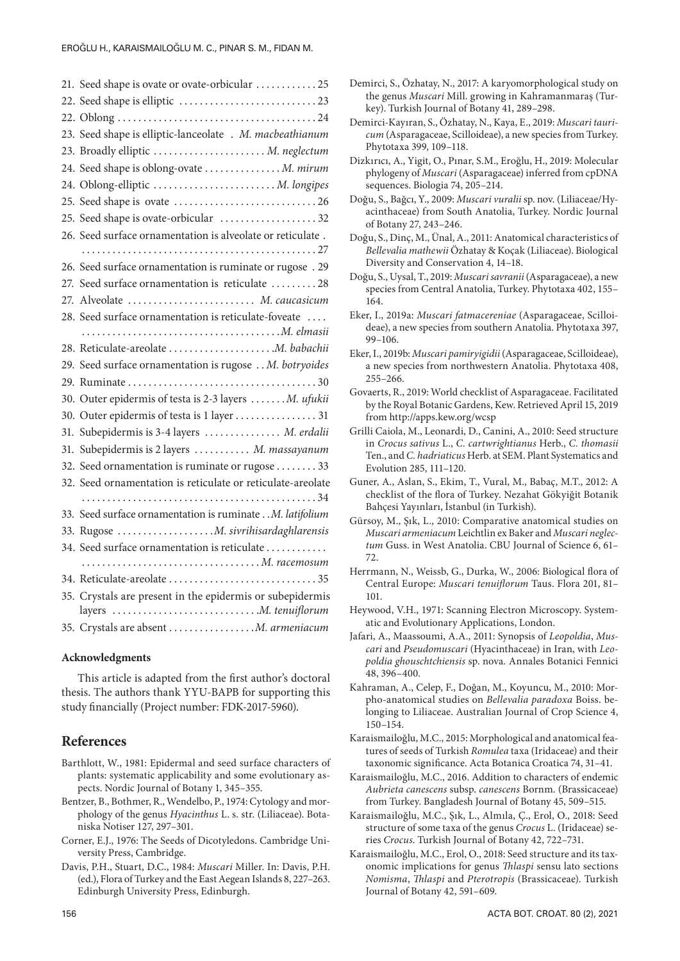| 21. Seed shape is ovate or ovate-orbicular  25              |
|-------------------------------------------------------------|
|                                                             |
|                                                             |
| 23. Seed shape is elliptic-lanceolate . M. macbeathianum    |
| 23. Broadly elliptic  M. neglectum                          |
| 24. Seed shape is oblong-ovate  M. mirum                    |
| 24. Oblong-elliptic  M. longipes                            |
|                                                             |
| 25. Seed shape is ovate-orbicular 32                        |
| 26. Seed surface ornamentation is alveolate or reticulate.  |
|                                                             |
| 26. Seed surface ornamentation is ruminate or rugose . 29   |
| 27. Seed surface ornamentation is reticulate  28            |
| 27. Alveolate  M. caucasicum                                |
| 28. Seed surface ornamentation is reticulate-foveate        |
|                                                             |
|                                                             |
| 29. Seed surface ornamentation is rugose  M. botryoides     |
|                                                             |
| 30. Outer epidermis of testa is 2-3 layers  M. ufukii       |
|                                                             |
| 31. Subepidermis is 3-4 layers  M. erdalii                  |
| 31. Subepidermis is 2 layers  M. massayanum                 |
| 32. Seed ornamentation is ruminate or rugose  33            |
| 32. Seed ornamentation is reticulate or reticulate-areolate |
|                                                             |
| 33. Seed surface ornamentation is ruminate M. latifolium    |
|                                                             |
| 34. Seed surface ornamentation is reticulate                |
|                                                             |
|                                                             |
| 35. Crystals are present in the epidermis or subepidermis   |
|                                                             |
| 35. Crystals are absent  M. armeniacum                      |

#### **Acknowledgments**

This article is adapted from the first author's doctoral thesis. The authors thank YYU-BAPB for supporting this study financially (Project number: FDK-2017-5960).

### **References**

- Barthlott, W., 1981: Epidermal and seed surface characters of plants: systematic applicability and some evolutionary aspects. Nordic Journal of Botany 1, 345–355.
- Bentzer, B., Bothmer, R., Wendelbo, P., 1974: Cytology and morphology of the genus *Hyacinthus* L. s. str. (Liliaceae). Botaniska Notiser 127, 297–301.
- Corner, E.J., 1976: The Seeds of Dicotyledons. Cambridge University Press, Cambridge.
- Davis, P.H., Stuart, D.C., 1984: *Muscari* Miller. In: Davis, P.H. (ed.), Flora of Turkey and the East Aegean Islands 8, 227–263. Edinburgh University Press, Edinburgh.
- Demirci, S., Özhatay, N., 2017: A karyomorphological study on the genus *Muscari* Mill. growing in Kahramanmaraş (Turkey). Turkish Journal of Botany 41, 289–298.
- Demirci-Kayıran, S., Özhatay, N., Kaya, E., 2019: *Muscari tauricum* (Asparagaceae, Scilloideae), a new species from Turkey. Phytotaxa 399, 109–118.
- Dizkırıcı, A., Yigit, O., Pınar, S.M., Eroğlu, H., 2019: Molecular phylogeny of *Muscari* (Asparagaceae) inferred from cpDNA sequences. Biologia 74, 205–214.
- Doğu, S., Bağcı, Y., 2009: *Muscari vuralii* sp. nov. (Liliaceae/Hyacinthaceae) from South Anatolia, Turkey. Nordic Journal of Botany 27, 243–246.
- Doğu, S., Dinç, M., Ünal, A., 2011: Anatomical characteristics of *Bellevalia mathewii* Özhatay & Koçak (Liliaceae). Biological Diversity and Conservation 4, 14–18.
- Doğu, S., Uysal, T., 2019: *Muscari savranii* (Asparagaceae), a new species from Central Anatolia, Turkey. Phytotaxa 402, 155– 164.
- Eker, I., 2019a: *Muscari fatmacereniae* (Asparagaceae, Scilloideae), a new species from southern Anatolia. Phytotaxa 397, 99–106.
- Eker, I., 2019b: *Muscari pamiryigidii* (Asparagaceae, Scilloideae), a new species from northwestern Anatolia. Phytotaxa 408, 255–266.
- Govaerts, R., 2019: World checklist of Asparagaceae. Facilitated by the Royal Botanic Gardens, Kew. Retrieved April 15, 2019 from http://apps.kew.org/wcsp
- Grilli Caiola, M., Leonardi, D., Canini, A., 2010: Seed structure in *Crocus sativus* L., *C. cartwrightianus* Herb., *C. thomasii* Ten., and *C. hadriaticus* Herb. at SEM. Plant Systematics and Evolution 285, 111–120.
- Guner, A., Aslan, S., Ekim, T., Vural, M., Babaç, M.T., 2012: A checklist of the flora of Turkey. Nezahat Gökyiğit Botanik Bahçesi Yayınları, İstanbul (in Turkish).
- Gürsoy, M., Şık, L., 2010: Comparative anatomical studies on *Muscari armeniacum* Leichtlin ex Baker and *Muscari neglectum* Guss. in West Anatolia. CBU Journal of Science 6, 61– 72.
- Herrmann, N., Weissb, G., Durka, W., 2006: Biological flora of Central Europe: *Muscari tenuiflorum* Taus. Flora 201, 81– 101.
- Heywood, V.H., 1971: Scanning Electron Microscopy. Systematic and Evolutionary Applications, London.
- Jafari, A., Maassoumi, A.A., 2011: Synopsis of *Leopoldia*, *Muscari* and *Pseudomuscari* (Hyacinthaceae) in Iran, with *Leopoldia ghouschtchiensis* sp. nova. Annales Botanici Fennici 48, 396–400.
- Kahraman, A., Celep, F., Doğan, M., Koyuncu, M., 2010: Morpho-anatomical studies on *Bellevalia paradoxa* Boiss. belonging to Liliaceae. Australian Journal of Crop Science 4, 150–154.
- Karaismailoğlu, M.C., 2015: Morphological and anatomical features of seeds of Turkish *Romulea* taxa (Iridaceae) and their taxonomic significance. Acta Botanica Croatica 74, 31–41.
- Karaismailoğlu, M.C., 2016. Addition to characters of endemic *Aubrieta canescens* subsp. *canescens* Bornm. (Brassicaceae) from Turkey. Bangladesh Journal of Botany 45, 509–515.
- Karaismailoğlu, M.C., Şık, L., Almıla, Ç., Erol, O., 2018: Seed structure of some taxa of the genus *Crocus* L. (Iridaceae) series *Crocus*. Turkish Journal of Botany 42, 722–731.
- Karaismailoğlu, M.C., Erol, O., 2018: Seed structure and its taxonomic implications for genus *Thlaspi* sensu lato sections *Nomisma*, *Thlaspi* and *Pterotropis* (Brassicaceae). Turkish Journal of Botany 42, 591–609.